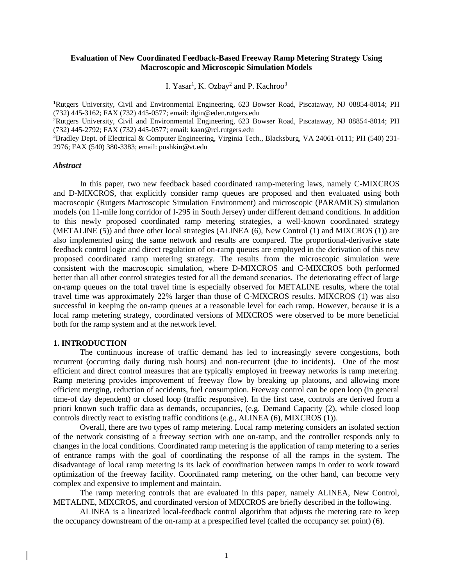## **Evaluation of New Coordinated Feedback-Based Freeway Ramp Metering Strategy Using Macroscopic and Microscopic Simulation Models**

I. Yasar<sup>1</sup>, K. Ozbay<sup>2</sup> and P. Kachroo<sup>3</sup>

<sup>1</sup>Rutgers University, Civil and Environmental Engineering, 623 Bowser Road, Piscataway, NJ 08854-8014; PH (732) 445-3162; FAX (732) 445-0577; email: ilgin@eden.rutgers.edu

<sup>2</sup>Rutgers University, Civil and Environmental Engineering, 623 Bowser Road, Piscataway, NJ 08854-8014; PH (732) 445-2792; FAX (732) 445-0577; email: kaan@rci.rutgers.edu

<sup>3</sup>Bradley Dept. of Electrical & Computer Engineering, Virginia Tech., Blacksburg, VA 24061-0111; PH (540) 231- 2976; FAX (540) 380-3383; email: pushkin@vt.edu

#### *Abstract*

In this paper, two new feedback based coordinated ramp-metering laws, namely C-MIXCROS and D-MIXCROS, that explicitly consider ramp queues are proposed and then evaluated using both macroscopic (Rutgers Macroscopic Simulation Environment) and microscopic (PARAMICS) simulation models (on 11-mile long corridor of I-295 in South Jersey) under different demand conditions. In addition to this newly proposed coordinated ramp metering strategies, a well-known coordinated strategy (METALINE (5)) and three other local strategies (ALINEA (6), New Control (1) and MIXCROS (1)) are also implemented using the same network and results are compared. The proportional-derivative state feedback control logic and direct regulation of on-ramp queues are employed in the derivation of this new proposed coordinated ramp metering strategy. The results from the microscopic simulation were consistent with the macroscopic simulation, where D-MIXCROS and C-MIXCROS both performed better than all other control strategies tested for all the demand scenarios. The deteriorating effect of large on-ramp queues on the total travel time is especially observed for METALINE results, where the total travel time was approximately 22% larger than those of C-MIXCROS results. MIXCROS (1) was also successful in keeping the on-ramp queues at a reasonable level for each ramp. However, because it is a local ramp metering strategy, coordinated versions of MIXCROS were observed to be more beneficial both for the ramp system and at the network level.

### **1. INTRODUCTION**

The continuous increase of traffic demand has led to increasingly severe congestions, both recurrent (occurring daily during rush hours) and non-recurrent (due to incidents). One of the most efficient and direct control measures that are typically employed in freeway networks is ramp metering. Ramp metering provides improvement of freeway flow by breaking up platoons, and allowing more efficient merging, reduction of accidents, fuel consumption. Freeway control can be open loop (in general time-of day dependent) or closed loop (traffic responsive). In the first case, controls are derived from a priori known such traffic data as demands, occupancies, (e.g. Demand Capacity (2), while closed loop controls directly react to existing traffic conditions (e.g., ALINEA (6), MIXCROS (1)).

Overall, there are two types of ramp metering. Local ramp metering considers an isolated section of the network consisting of a freeway section with one on-ramp, and the controller responds only to changes in the local conditions. Coordinated ramp metering is the application of ramp metering to a series of entrance ramps with the goal of coordinating the response of all the ramps in the system. The disadvantage of local ramp metering is its lack of coordination between ramps in order to work toward optimization of the freeway facility. Coordinated ramp metering, on the other hand, can become very complex and expensive to implement and maintain.

The ramp metering controls that are evaluated in this paper, namely ALINEA, New Control, METALINE, MIXCROS, and coordinated version of MIXCROS are briefly described in the following.

ALINEA is a linearized local-feedback control algorithm that adjusts the metering rate to keep the occupancy downstream of the on-ramp at a prespecified level (called the occupancy set point) (6).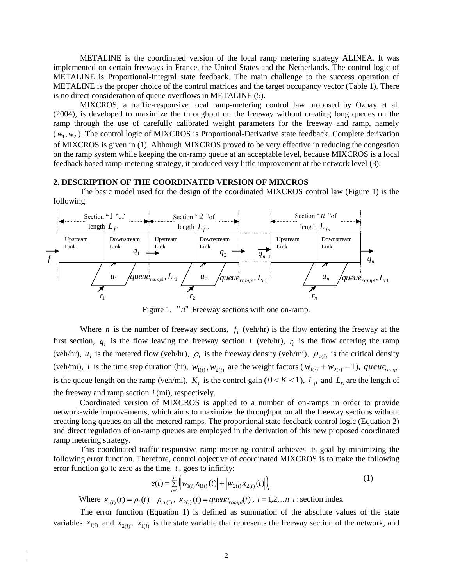METALINE is the coordinated version of the local ramp metering strategy ALINEA. It was implemented on certain freeways in France, the United States and the Netherlands. The control logic of METALINE is Proportional-Integral state feedback. The main challenge to the success operation of METALINE is the proper choice of the control matrices and the target occupancy vector (Table 1). There is no direct consideration of queue overflows in METALINE (5).

MIXCROS, a traffic-responsive local ramp-metering control law proposed by Ozbay et al. (2004), is developed to maximize the throughput on the freeway without creating long queues on the ramp through the use of carefully calibrated weight parameters for the freeway and ramp, namely  $(w_1, w_2)$ . The control logic of MIXCROS is Proportional-Derivative state feedback. Complete derivation of MIXCROS is given in (1). Although MIXCROS proved to be very effective in reducing the congestion on the ramp system while keeping the on-ramp queue at an acceptable level, because MIXCROS is a local feedback based ramp-metering strategy, it produced very little improvement at the network level (3).

#### **2. DESCRIPTION OF THE COORDINATED VERSION OF MIXCROS**

The basic model used for the design of the coordinated MIXCROS control law (Figure 1) is the following.



Figure 1. "*n*" Freeway sections with one on-ramp.

Where *n* is the number of freeway sections,  $f_i$  (veh/hr) is the flow entering the freeway at the first section,  $q_i$  is the flow leaving the freeway section *i* (veh/hr),  $r_i$  is the flow entering the ramp (veh/hr),  $u_i$  is the metered flow (veh/hr),  $\rho_i$  is the freeway density (veh/mi),  $\rho_{c(i)}$  is the critical density (veh/mi), T is the time step duration (hr),  $w_{1(i)}$ ,  $w_{2(i)}$  are the weight factors ( $w_{1(i)} + w_{2(i)} = 1$ ), queue<sub>rampi</sub> is the queue length on the ramp (veh/mi),  $K_i$  is the control gain ( $0 < K < 1$ ),  $L_{fi}$  and  $L_{ri}$  are the length of the freeway and ramp section  $i$  (mi), respectively.

Coordinated version of MIXCROS is applied to a number of on-ramps in order to provide network-wide improvements, which aims to maximize the throughput on all the freeway sections without creating long queues on all the metered ramps. The proportional state feedback control logic (Equation 2) and direct regulation of on-ramp queues are employed in the derivation of this new proposed coordinated ramp metering strategy.

This coordinated traffic-responsive ramp-metering control achieves its goal by minimizing the following error function. Therefore, control objective of coordinated MIXCROS is to make the following error function go to zero as the time, *t* , goes to infinity:

$$
e(t) = \sum_{i=1}^{n} \left( w_{1(i)} x_{1(i)}(t) \right) + \left| w_{2(i)} x_{2(i)}(t) \right|_{i} \tag{1}
$$

Where  $x_{1(i)}(t) = \rho_i(t) - \rho_{cr(i)}$ ,  $x_{2(i)}(t) = queue_{rampi}(t)$ ,  $i = 1, 2,...n$  i: section index

The error function (Equation 1) is defined as summation of the absolute values of the state variables  $x_{1(i)}$  and  $x_{2(i)}$ .  $x_{1(i)}$  is the state variable that represents the freeway section of the network, and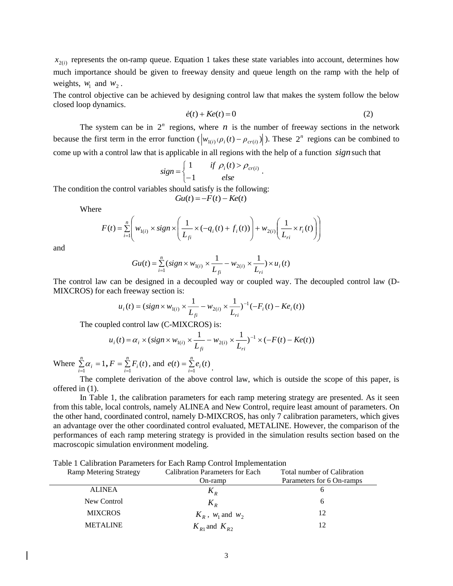$x_{2(i)}$  represents the on-ramp queue. Equation 1 takes these state variables into account, determines how much importance should be given to freeway density and queue length on the ramp with the help of weights,  $w_1$  and  $w_2$ .

The control objective can be achieved by designing control law that makes the system follow the below closed loop dynamics.

$$
\dot{e}(t) + Ke(t) = 0\tag{2}
$$

The system can be in  $2^n$  regions, where *n* is the number of freeway sections in the network because the first term in the error function  $(|w_{1(i)}(\rho_i(t) - \rho_{cr(i)})|)$ . These  $2^n$  regions can be combined to come up with a control law that is applicable in all regions with the help of a function *sign* such that

$$
sign = \begin{cases} 1 & if \rho_i(t) > \rho_{cr(i)} \\ -1 & else \end{cases}.
$$

The condition the control variables should satisfy is the following:

$$
Gu(t) = -F(t) - Ke(t)
$$

Where

$$
F(t) = \sum_{i=1}^{n} \left( w_{1(i)} \times sign \times \left( \frac{1}{L_{fi}} \times (-q_i(t) + f_i(t)) \right) + w_{2(i)} \left( \frac{1}{L_{ri}} \times r_i(t) \right) \right)
$$

and

$$
Gu(t) = \sum_{i=1}^{n} (sign \times w_{1(i)} \times \frac{1}{L_{fi}} - w_{2(i)} \times \frac{1}{L_{ri}}) \times u_i(t)
$$

The control law can be designed in a decoupled way or coupled way. The decoupled control law (D-MIXCROS) for each freeway section is:

$$
u_i(t) = (sign \times w_{1(i)} \times \frac{1}{L_{fi}} - w_{2(i)} \times \frac{1}{L_{ri}})^{-1} (-F_i(t) - Ke_i(t))
$$

The coupled control law (C-MIXCROS) is:

$$
u_i(t) = \alpha_i \times (sign \times w_{1(i)} \times \frac{1}{L_{fi}} - w_{2(i)} \times \frac{1}{L_{ri}})^{-1} \times (-F(t) - Ke(t))
$$

Where  $\sum_{i=1}^{n} \alpha_i =$ *n*  $\sum_{i=1}$ <sup> $\alpha_i$ </sup>  $\alpha_i = 1, F = \sum_{i=1}^{\infty}$ *n*  $F = \sum_{i=1}^{6} F_i(t)$ , and  $e(t) = \sum_{i=1}^{6}$  $e(t) = \sum_{i=1}^{ } e_i(t)$  $(t) = \sum_{i=1}^{\infty} e_i(t)$ .

The complete derivation of the above control law, which is outside the scope of this paper, is offered in (1).

In Table 1, the calibration parameters for each ramp metering strategy are presented. As it seen from this table, local controls, namely ALINEA and New Control, require least amount of parameters. On the other hand, coordinated control, namely D-MIXCROS, has only 7 calibration parameters, which gives an advantage over the other coordinated control evaluated, METALINE. However, the comparison of the performances of each ramp metering strategy is provided in the simulation results section based on the macroscopic simulation environment modeling.

|                                                            | Table 1 Calibration Parameters for Each Ramp Control Implementation |                             |
|------------------------------------------------------------|---------------------------------------------------------------------|-----------------------------|
| $D_{\text{const}} M_{\text{atym}} \sim C_{\text{totstar}}$ | Coliberation Domanators for Each                                    | Total number of Calibration |

| Kamp <i>withing</i> buates | Canbration I arameters for Each | TUMI HUMOCI UI CAMBIAGULI |
|----------------------------|---------------------------------|---------------------------|
|                            | On-ramp                         | Parameters for 6 On-ramps |
| <b>ALINEA</b>              | $K_R$                           |                           |
| New Control                | $K_{R}$                         |                           |
| <b>MIXCROS</b>             | $K_R$ , $w_1$ and $w_2$         | 12                        |
| <b>METALINE</b>            | $K_{R1}$ and $K_{R2}$           | 12                        |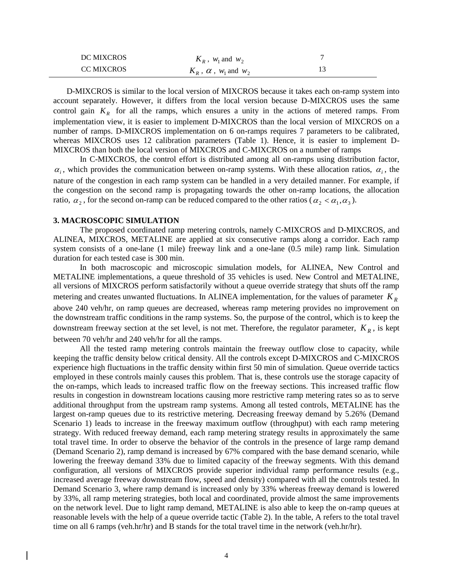| <b>DC MIXCROS</b> | $K_R$ , $W_1$ and $W_2$            |  |
|-------------------|------------------------------------|--|
| <b>CC MIXCROS</b> | $K_R$ , $\alpha$ , $W_1$ and $W_2$ |  |

D-MIXCROS is similar to the local version of MIXCROS because it takes each on-ramp system into account separately. However, it differs from the local version because D-MIXCROS uses the same control gain  $K_R$  for all the ramps, which ensures a unity in the actions of metered ramps. From implementation view, it is easier to implement D-MIXCROS than the local version of MIXCROS on a number of ramps. D-MIXCROS implementation on 6 on-ramps requires 7 parameters to be calibrated, whereas MIXCROS uses 12 calibration parameters (Table 1). Hence, it is easier to implement D-MIXCROS than both the local version of MIXCROS and C-MIXCROS on a number of ramps

In C-MIXCROS, the control effort is distributed among all on-ramps using distribution factor,  $\alpha_i$ , which provides the communication between on-ramp systems. With these allocation ratios,  $\alpha_i$ , the nature of the congestion in each ramp system can be handled in a very detailed manner. For example, if the congestion on the second ramp is propagating towards the other on-ramp locations, the allocation ratio,  $\alpha_2$ , for the second on-ramp can be reduced compared to the other ratios ( $\alpha_2 < \alpha_1, \alpha_3$ ).

## **3. MACROSCOPIC SIMULATION**

The proposed coordinated ramp metering controls, namely C-MIXCROS and D-MIXCROS, and ALINEA, MIXCROS, METALINE are applied at six consecutive ramps along a corridor. Each ramp system consists of a one-lane (1 mile) freeway link and a one-lane (0.5 mile) ramp link. Simulation duration for each tested case is 300 min.

In both macroscopic and microscopic simulation models, for ALINEA, New Control and METALINE implementations, a queue threshold of 35 vehicles is used. New Control and METALINE, all versions of MIXCROS perform satisfactorily without a queue override strategy that shuts off the ramp metering and creates unwanted fluctuations. In ALINEA implementation, for the values of parameter *K<sup>R</sup>* above 240 veh/hr, on ramp queues are decreased, whereas ramp metering provides no improvement on the downstream traffic conditions in the ramp systems. So, the purpose of the control, which is to keep the downstream freeway section at the set level, is not met. Therefore, the regulator parameter,  $K_R$ , is kept between 70 veh/hr and 240 veh/hr for all the ramps.

All the tested ramp metering controls maintain the freeway outflow close to capacity, while keeping the traffic density below critical density. All the controls except D-MIXCROS and C-MIXCROS experience high fluctuations in the traffic density within first 50 min of simulation. Queue override tactics employed in these controls mainly causes this problem. That is, these controls use the storage capacity of the on-ramps, which leads to increased traffic flow on the freeway sections. This increased traffic flow results in congestion in downstream locations causing more restrictive ramp metering rates so as to serve additional throughput from the upstream ramp systems. Among all tested controls, METALINE has the largest on-ramp queues due to its restrictive metering. Decreasing freeway demand by 5.26% (Demand Scenario 1) leads to increase in the freeway maximum outflow (throughput) with each ramp metering strategy. With reduced freeway demand, each ramp metering strategy results in approximately the same total travel time. In order to observe the behavior of the controls in the presence of large ramp demand (Demand Scenario 2), ramp demand is increased by 67% compared with the base demand scenario, while lowering the freeway demand 33% due to limited capacity of the freeway segments. With this demand configuration, all versions of MIXCROS provide superior individual ramp performance results (e.g., increased average freeway downstream flow, speed and density) compared with all the controls tested. In Demand Scenario 3, where ramp demand is increased only by 33% whereas freeway demand is lowered by 33%, all ramp metering strategies, both local and coordinated, provide almost the same improvements on the network level. Due to light ramp demand, METALINE is also able to keep the on-ramp queues at reasonable levels with the help of a queue override tactic (Table 2). In the table, A refers to the total travel time on all 6 ramps (veh.hr/hr) and B stands for the total travel time in the network (veh.hr/hr).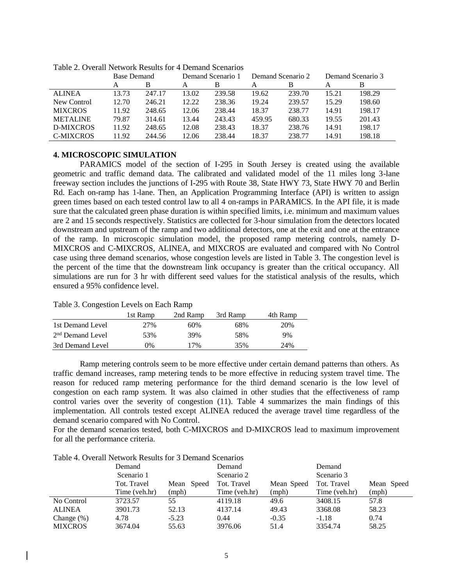|                  | <b>Base Demand</b> |        |       | Demand Scenario 1 |        | Demand Scenario 2 |       | Demand Scenario 3 |  |
|------------------|--------------------|--------|-------|-------------------|--------|-------------------|-------|-------------------|--|
|                  |                    | B      |       |                   |        |                   |       | В                 |  |
| <b>ALINEA</b>    | 13.73              | 247.17 | 13.02 | 239.58            | 19.62  | 239.70            | 15.21 | 198.29            |  |
| New Control      | 12.70              | 246.21 | 12.22 | 238.36            | 19.24  | 239.57            | 15.29 | 198.60            |  |
| <b>MIXCROS</b>   | 11.92              | 248.65 | 12.06 | 238.44            | 18.37  | 238.77            | 14.91 | 198.17            |  |
| <b>METALINE</b>  | 79.87              | 314.61 | 13.44 | 243.43            | 459.95 | 680.33            | 19.55 | 201.43            |  |
| D-MIXCROS        | 11.92              | 248.65 | 12.08 | 238.43            | 18.37  | 238.76            | 14.91 | 198.17            |  |
| <b>C-MIXCROS</b> | 11.92              | 244.56 | 12.06 | 238.44            | 18.37  | 238.77            | 14.91 | 198.18            |  |
|                  |                    |        |       |                   |        |                   |       |                   |  |

Table 2. Overall Network Results for 4 Demand Scenarios

## **4. MICROSCOPIC SIMULATION**

PARAMICS model of the section of I-295 in South Jersey is created using the available geometric and traffic demand data. The calibrated and validated model of the 11 miles long 3-lane freeway section includes the junctions of I-295 with Route 38, State HWY 73, State HWY 70 and Berlin Rd. Each on-ramp has 1-lane. Then, an Application Programming Interface (API) is written to assign green times based on each tested control law to all 4 on-ramps in PARAMICS. In the API file, it is made sure that the calculated green phase duration is within specified limits, i.e. minimum and maximum values are 2 and 15 seconds respectively. Statistics are collected for 3-hour simulation from the detectors located downstream and upstream of the ramp and two additional detectors, one at the exit and one at the entrance of the ramp. In microscopic simulation model, the proposed ramp metering controls, namely D-MIXCROS and C-MIXCROS, ALINEA, and MIXCROS are evaluated and compared with No Control case using three demand scenarios, whose congestion levels are listed in Table 3. The congestion level is the percent of the time that the downstream link occupancy is greater than the critical occupancy. All simulations are run for 3 hr with different seed values for the statistical analysis of the results, which ensured a 95% confidence level.

| Twore properties and the one mean result |          |          |          |          |
|------------------------------------------|----------|----------|----------|----------|
|                                          | 1st Ramp | 2nd Ramp | 3rd Ramp | 4th Ramp |
| 1st Demand Level                         | 2.7%     | 60%      | 68%      | 20%      |
| 2 <sup>nd</sup> Demand Level             | 53%      | 39%      | 58%      | 9%       |
| 3rd Demand Level                         | 0%       | 17%      | 35%      | 24%      |

# Table 3. Congestion Levels on Each Ramp

Ramp metering controls seem to be more effective under certain demand patterns than others. As traffic demand increases, ramp metering tends to be more effective in reducing system travel time. The reason for reduced ramp metering performance for the third demand scenario is the low level of congestion on each ramp system. It was also claimed in other studies that the effectiveness of ramp control varies over the severity of congestion (11). Table 4 summarizes the main findings of this implementation. All controls tested except ALINEA reduced the average travel time regardless of the demand scenario compared with No Control.

For the demand scenarios tested, both C-MIXCROS and D-MIXCROS lead to maximum improvement for all the performance criteria.

| Demand<br>Scenario 1 |               |            | Demand        |            | Demand        |            |  |  |  |
|----------------------|---------------|------------|---------------|------------|---------------|------------|--|--|--|
|                      |               |            | Scenario 2    |            |               | Scenario 3 |  |  |  |
|                      | Tot. Travel   | Mean Speed | Tot. Travel   | Mean Speed | Tot. Travel   | Mean Speed |  |  |  |
|                      | Time (veh.hr) | (mph)      | Time (veh.hr) | (mph)      | Time (veh.hr) | (mph)      |  |  |  |
| No Control           | 3723.57       | 55         | 4119.18       | 49.6       | 3408.15       | 57.8       |  |  |  |
| <b>ALINEA</b>        | 3901.73       | 52.13      | 4137.14       | 49.43      | 3368.08       | 58.23      |  |  |  |
| Change $(\%)$        | 4.78          | $-5.23$    | 0.44          | $-0.35$    | $-1.18$       | 0.74       |  |  |  |
| <b>MIXCROS</b>       | 3674.04       | 55.63      | 3976.06       | 51.4       | 3354.74       | 58.25      |  |  |  |

Table 4. Overall Network Results for 3 Demand Scenarios